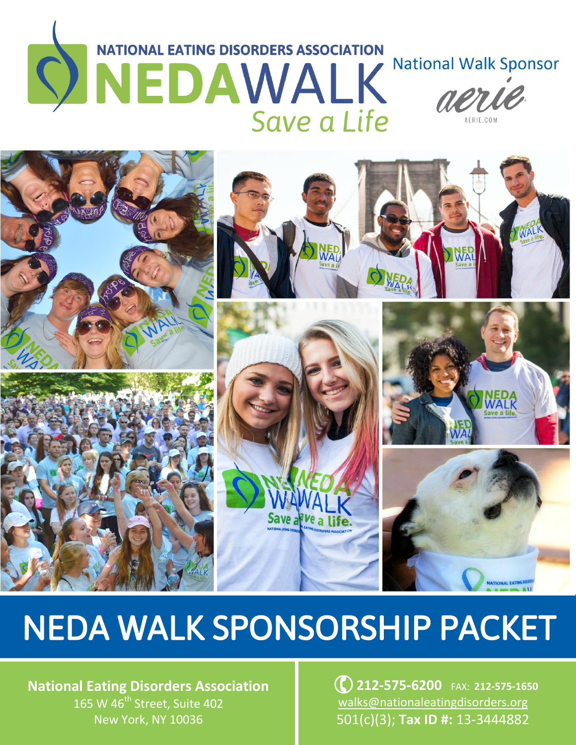# NEDAWALK **National Walk Sponsor**



# NEDA WALK SPONSORSHIP PACKET

**National Eating Disorders Association** 165 W 46<sup>th</sup> Street, Suite 402 New York, NY 10036

**122-575-6200** FAX: 212-575-1650 [walks@nationaleatingdisorders.org](mailto:jsteinberg@nationaleatingdisorders.org) 501(c)(3); **Tax ID #:** 13-3444882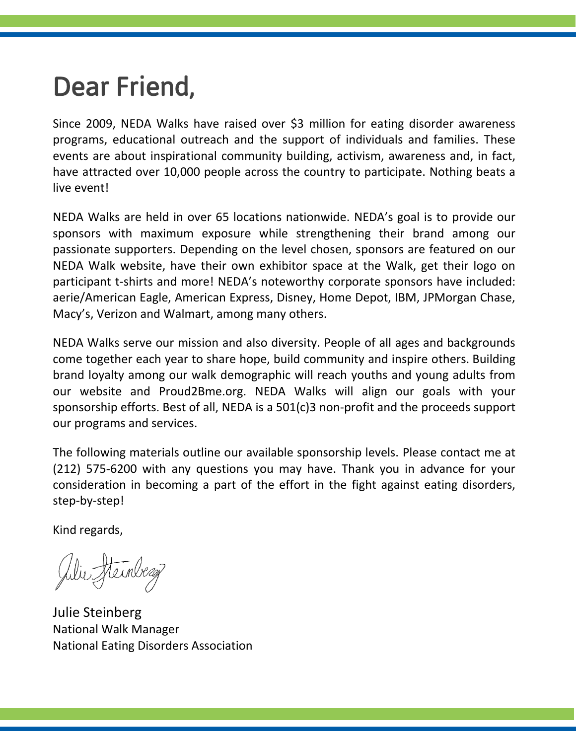# Dear Friend,

Since 2009, NEDA Walks have raised over \$3 million for eating disorder awareness programs, educational outreach and the support of individuals and families. These events are about inspirational community building, activism, awareness and, in fact, have attracted over 10,000 people across the country to participate. Nothing beats a live event!

NEDA Walks are held in over 65 locations nationwide. NEDA's goal is to provide our sponsors with maximum exposure while strengthening their brand among our passionate supporters. Depending on the level chosen, sponsors are featured on our NEDA Walk website, have their own exhibitor space at the Walk, get their logo on participant t-shirts and more! NEDA's noteworthy corporate sponsors have included: aerie/American Eagle, American Express, Disney, Home Depot, IBM, JPMorgan Chase, Macy's, Verizon and Walmart, among many others.

NEDA Walks serve our mission and also diversity. People of all ages and backgrounds come together each year to share hope, build community and inspire others. Building brand loyalty among our walk demographic will reach youths and young adults from our website and Proud2Bme.org. NEDA Walks will align our goals with your sponsorship efforts. Best of all, NEDA is a 501(c)3 non-profit and the proceeds support our programs and services.

The following materials outline our available sponsorship levels. Please contact me at (212) 575-6200 with any questions you may have. Thank you in advance for your consideration in becoming a part of the effort in the fight against eating disorders, step-by-step!

Kind regards,

Julie Steinberg

Julie Steinberg National Walk Manager National Eating Disorders Association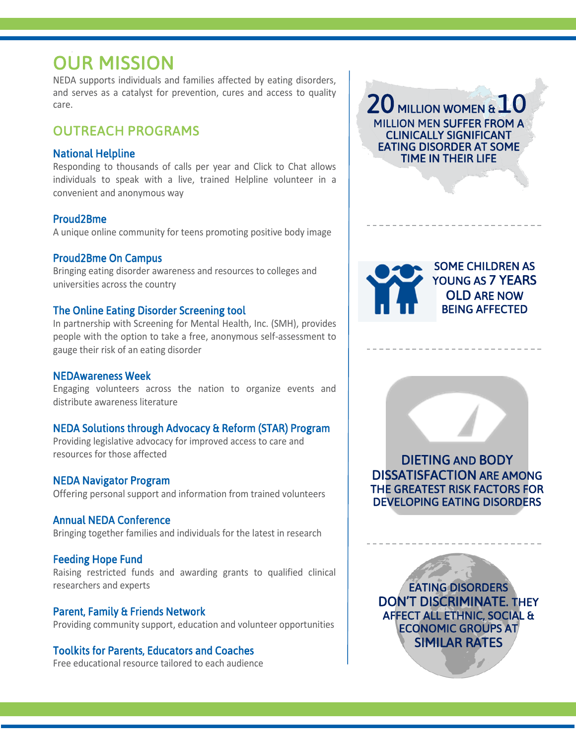## OUR MISSION

NEDA supports individuals and families affected by eating disorders, and serves as a catalyst for prevention, cures and access to quality care.

#### OUTREACH PROGRAMS

#### National Helpline

Responding to thousands of calls per year and Click to Chat allows individuals to speak with a live, trained Helpline volunteer in a convenient and anonymous way

#### Proud2Bme

A unique online community for teens promoting positive body image

#### Proud2Bme On Campus

Bringing eating disorder awareness and resources to colleges and universities across the country

#### The Online Eating Disorder Screening tool

In partnership with Screening for Mental Health, Inc. (SMH), provides people with the option to take a free, anonymous self-assessment to gauge their risk of an eating disorder

#### NEDAwareness Week

Engaging volunteers across the nation to organize events and distribute awareness literature

#### NEDA Solutions through Advocacy & Reform (STAR) Program

Providing legislative advocacy for improved access to care and resources for those affected

#### NEDA Navigator Program

Offering personal support and information from trained volunteers

#### Annual NEDA Conference

Bringing together families and individuals for the latest in research

#### Feeding Hope Fund

Raising restricted funds and awarding grants to qualified clinical researchers and experts

#### Parent, Family & Friends Network

Providing community support, education and volunteer opportunities

#### Toolkits for Parents, Educators and Coaches

Free educational resource tailored to each audience

20 MILLION WOMEN & J **MILLION MEN SUFFER FROM A** CLINICALLY SIGNIFICANT EATING DISORDER AT SOME TIME IN THEIR LIFE





DEVELOPING EATING DISORDERS

EATING DISORDERS DON'T DISCRIMINATE. THEY AFFECT ALL ETHNIC, SOCIAL & ECONOMIC GROUPS AT SIMILAR RATES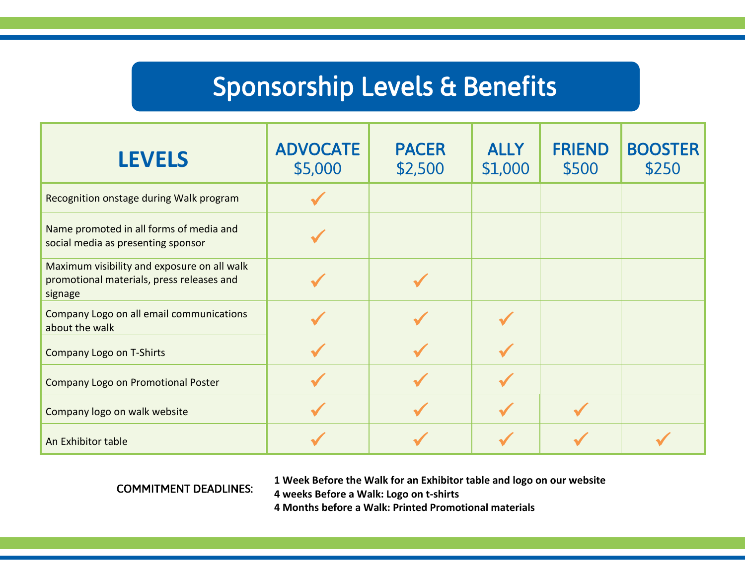# Sponsorship Levels & Benefits

| <b>LEVELS</b>                                                                                       | <b>ADVOCATE</b><br>\$5,000 | <b>PACER</b><br>\$2,500 | <b>ALLY</b><br>\$1,000 | <b>FRIEND</b><br>\$500 | <b>BOOSTER</b><br>\$250 |
|-----------------------------------------------------------------------------------------------------|----------------------------|-------------------------|------------------------|------------------------|-------------------------|
| Recognition onstage during Walk program                                                             |                            |                         |                        |                        |                         |
| Name promoted in all forms of media and<br>social media as presenting sponsor                       |                            |                         |                        |                        |                         |
| Maximum visibility and exposure on all walk<br>promotional materials, press releases and<br>signage |                            |                         |                        |                        |                         |
| Company Logo on all email communications<br>about the walk                                          |                            |                         |                        |                        |                         |
| Company Logo on T-Shirts                                                                            |                            |                         |                        |                        |                         |
| <b>Company Logo on Promotional Poster</b>                                                           |                            |                         |                        |                        |                         |
| Company logo on walk website                                                                        |                            |                         |                        |                        |                         |
| An Exhibitor table                                                                                  |                            |                         |                        |                        |                         |

COMMITMENT DEADLINES:

 **1 Week Before the Walk for an Exhibitor table and logo on our website 4 weeks Before a Walk: Logo on t-shirts 4 Months before a Walk: Printed Promotional materials**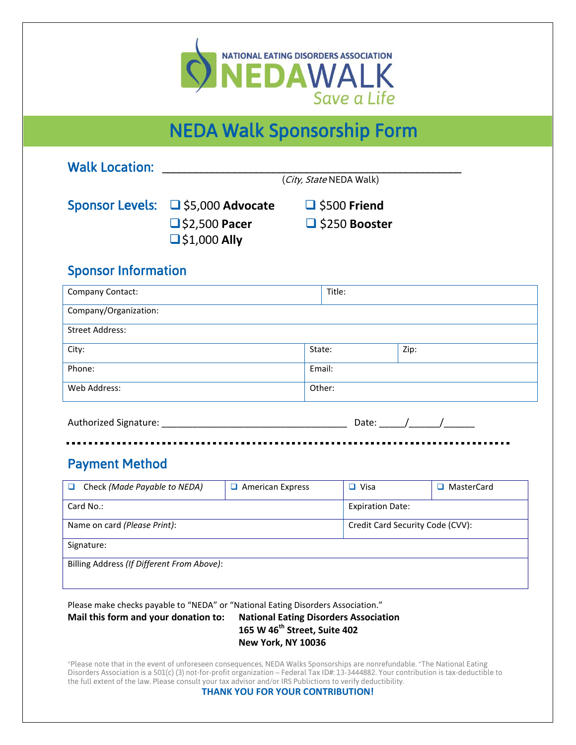

#### I NEDA Walk Sponsorship Form

| <b>Walk Location:</b>                                                                                                    |                                             |                                              |                                  |                                        |      |              |
|--------------------------------------------------------------------------------------------------------------------------|---------------------------------------------|----------------------------------------------|----------------------------------|----------------------------------------|------|--------------|
|                                                                                                                          |                                             |                                              | (City, State NEDA Walk)          |                                        |      |              |
| Sponsor Levels: □ \$5,000 Advocate                                                                                       |                                             |                                              | $\Box$ \$500 Friend              |                                        |      |              |
|                                                                                                                          | $\Box$ \$2,500 Pacer<br>$\Box$ \$1,000 Ally | $\Box$ \$250 Booster                         |                                  |                                        |      |              |
| <b>Sponsor Information</b>                                                                                               |                                             |                                              |                                  |                                        |      |              |
| Company Contact:                                                                                                         |                                             |                                              | Title:                           |                                        |      |              |
| Company/Organization:                                                                                                    |                                             |                                              |                                  |                                        |      |              |
| <b>Street Address:</b>                                                                                                   |                                             |                                              |                                  |                                        |      |              |
| City:                                                                                                                    |                                             |                                              | State:                           |                                        | Zip: |              |
| Phone:                                                                                                                   |                                             |                                              | Email:                           |                                        |      |              |
| Web Address:                                                                                                             |                                             |                                              | Other:                           |                                        |      |              |
| <b>Payment Method</b><br>Check (Made Payable to NEDA)<br>o.<br>Card No.:                                                 |                                             | $\Box$ American Express                      |                                  | $\Box$ Visa<br><b>Expiration Date:</b> |      | □ MasterCard |
| Name on card (Please Print):                                                                                             |                                             |                                              | Credit Card Security Code (CVV): |                                        |      |              |
| Signature:                                                                                                               |                                             |                                              |                                  |                                        |      |              |
| Billing Address (If Different From Above):                                                                               |                                             |                                              |                                  |                                        |      |              |
| Please make checks payable to "NEDA" or "National Eating Disorders Association."<br>Mail this form and your donation to: |                                             | <b>National Eating Disorders Association</b> |                                  |                                        |      |              |